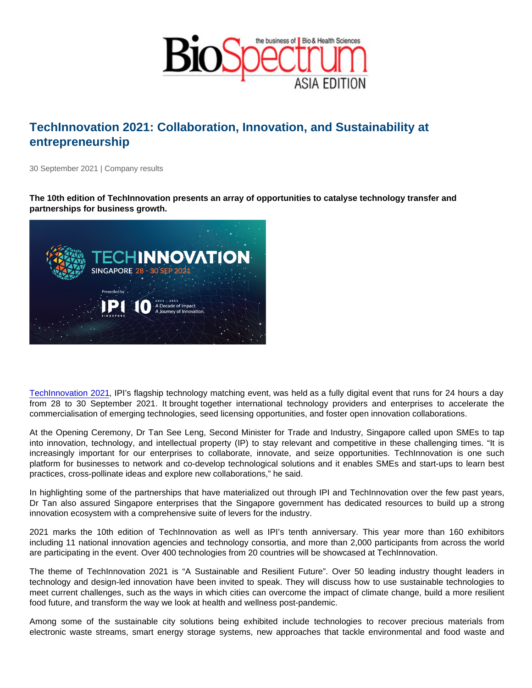## TechInnovation 2021: Collaboration, Innovation, and Sustainability at entrepreneurship

30 September 2021 | Company results

The 10th edition of TechInnovation presents an array of opportunities to catalyse technology transfer and partnerships for business growth.

[TechInnovation 2021,](https://www.techinnovation.com.sg/) IPI's flagship technology matching event, was held as a fully digital event that runs for 24 hours a day from 28 to 30 September 2021. It brought together international technology providers and enterprises to accelerate the commercialisation of emerging technologies, seed licensing opportunities, and foster open innovation collaborations.

At the Opening Ceremony, Dr Tan See Leng, Second Minister for Trade and Industry, Singapore called upon SMEs to tap into innovation, technology, and intellectual property (IP) to stay relevant and competitive in these challenging times. "It is increasingly important for our enterprises to collaborate, innovate, and seize opportunities. TechInnovation is one such platform for businesses to network and co-develop technological solutions and it enables SMEs and start-ups to learn best practices, cross-pollinate ideas and explore new collaborations," he said.

In highlighting some of the partnerships that have materialized out through IPI and TechInnovation over the few past years, Dr Tan also assured Singapore enterprises that the Singapore government has dedicated resources to build up a strong innovation ecosystem with a comprehensive suite of levers for the industry.

2021 marks the 10th edition of TechInnovation as well as IPI's tenth anniversary. This year more than 160 exhibitors including 11 national innovation agencies and technology consortia, and more than 2,000 participants from across the world are participating in the event. Over 400 technologies from 20 countries will be showcased at TechInnovation.

The theme of TechInnovation 2021 is "A Sustainable and Resilient Future". Over 50 leading industry thought leaders in technology and design-led innovation have been invited to speak. They will discuss how to use sustainable technologies to meet current challenges, such as the ways in which cities can overcome the impact of climate change, build a more resilient food future, and transform the way we look at health and wellness post-pandemic.

Among some of the sustainable city solutions being exhibited include technologies to recover precious materials from electronic waste streams, smart energy storage systems, new approaches that tackle environmental and food waste and